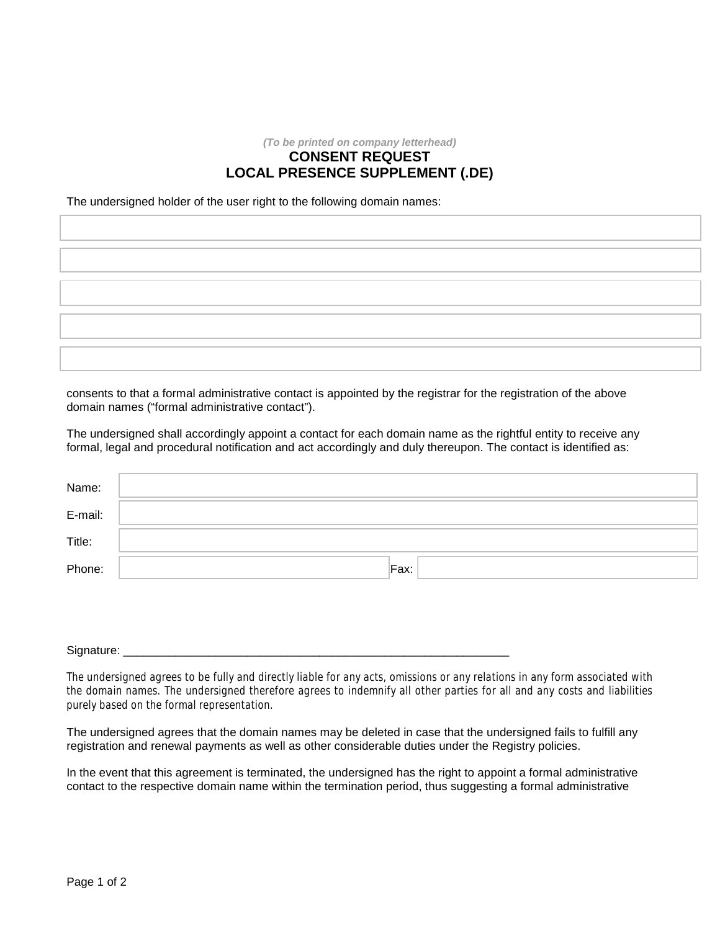## *(To be printed on company letterhead)* **CONSENT REQUEST LOCAL PRESENCE SUPPLEMENT (.DE)**

The undersigned holder of the user right to the following domain names:

consents to that a formal administrative contact is appointed by the registrar for the registration of the above domain names ("formal administrative contact").

The undersigned shall accordingly appoint a contact for each domain name as the rightful entity to receive any formal, legal and procedural notification and act accordingly and duly thereupon. The contact is identified as:

| Name:   |      |
|---------|------|
| E-mail: |      |
| Title:  |      |
| Phone:  | Fax: |

Signature: \_\_\_\_\_\_\_\_\_\_\_\_\_\_\_\_\_\_\_\_\_\_\_\_\_\_\_\_\_\_\_\_\_\_\_\_\_\_\_\_\_\_\_\_\_\_\_\_\_\_\_\_\_\_\_\_\_\_\_

The undersigned agrees to be fully and directly liable for any acts, omissions or any relations in any form associated with the domain names. The undersigned therefore agrees to indemnify all other parties for all and any costs and liabilities purely based on the formal representation.

The undersigned agrees that the domain names may be deleted in case that the undersigned fails to fulfill any registration and renewal payments as well as other considerable duties under the Registry policies.

In the event that this agreement is terminated, the undersigned has the right to appoint a formal administrative contact to the respective domain name within the termination period, thus suggesting a formal administrative

 $\overline{\phantom{a}}$